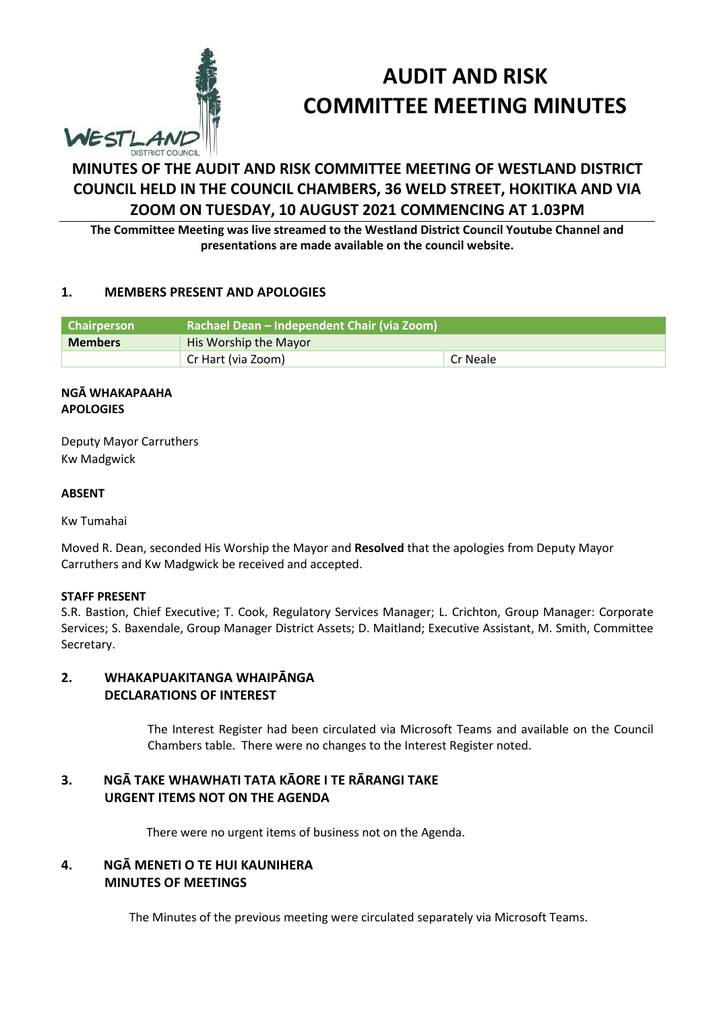

# **AUDIT AND RISK COMMITTEE MEETING MINUTES**

# **MINUTES OF THE AUDIT AND RISK COMMITTEE MEETING OF WESTLAND DISTRICT COUNCIL HELD IN THE COUNCIL CHAMBERS, 36 WELD STREET, HOKITIKA AND VIA ZOOM ON TUESDAY, 10 AUGUST 2021 COMMENCING AT 1.03PM**

**The Committee Meeting was live streamed to the Westland District Council Youtube Channel and presentations are made available on the council website.**

### **1. MEMBERS PRESENT AND APOLOGIES**

| Chairperson    | Rachael Dean - Independent Chair (via Zoom) |          |  |
|----------------|---------------------------------------------|----------|--|
| <b>Members</b> | His Worship the Mayor                       |          |  |
|                | Cr Hart (via Zoom)                          | Cr Neale |  |

#### **NGĀ WHAKAPAAHA APOLOGIES**

Deputy Mayor Carruthers Kw Madgwick

#### **ABSENT**

Kw Tumahai

Moved R. Dean, seconded His Worship the Mayor and **Resolved** that the apologies from Deputy Mayor Carruthers and Kw Madgwick be received and accepted.

#### **STAFF PRESENT**

S.R. Bastion, Chief Executive; T. Cook, Regulatory Services Manager; L. Crichton, Group Manager: Corporate Services; S. Baxendale, Group Manager District Assets; D. Maitland; Executive Assistant, M. Smith, Committee Secretary.

# **2. WHAKAPUAKITANGA WHAIPĀNGA DECLARATIONS OF INTEREST**

The Interest Register had been circulated via Microsoft Teams and available on the Council Chambers table. There were no changes to the Interest Register noted.

# **3. NGĀ TAKE WHAWHATI TATA KĀORE I TE RĀRANGI TAKE URGENT ITEMS NOT ON THE AGENDA**

There were no urgent items of business not on the Agenda.

# **4. NGĀ MENETI O TE HUI KAUNIHERA MINUTES OF MEETINGS**

The Minutes of the previous meeting were circulated separately via Microsoft Teams.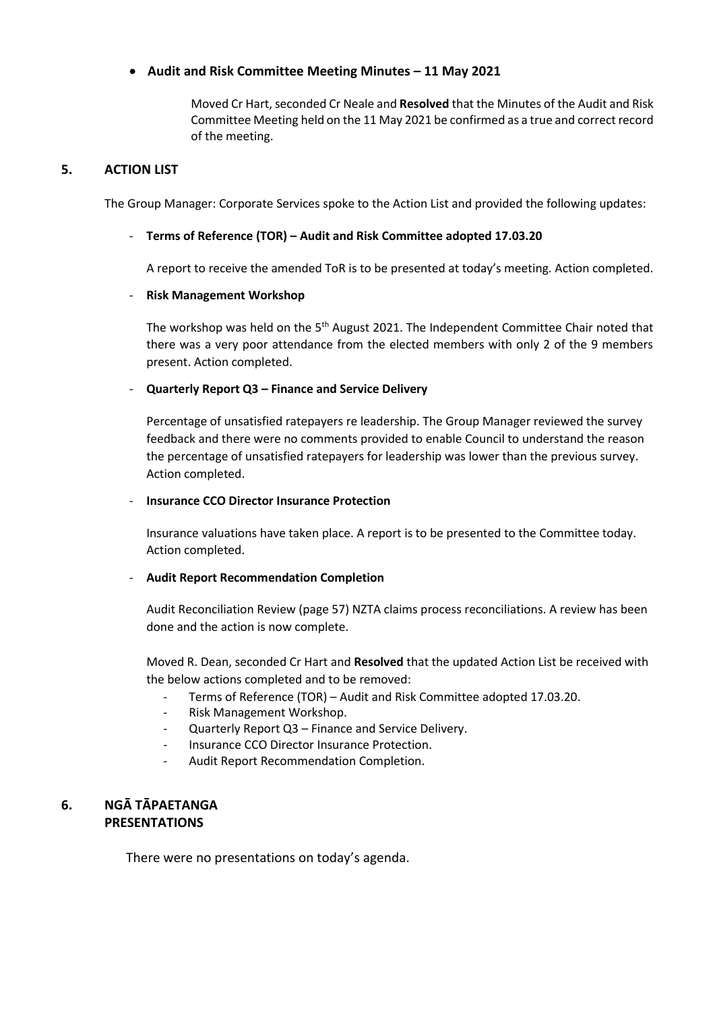## **Audit and Risk Committee Meeting Minutes – 11 May 2021**

Moved Cr Hart, seconded Cr Neale and **Resolved** that the Minutes of the Audit and Risk Committee Meeting held on the 11 May 2021 be confirmed as a true and correct record of the meeting.

## **5. ACTION LIST**

The Group Manager: Corporate Services spoke to the Action List and provided the following updates:

#### - **Terms of Reference (TOR) – Audit and Risk Committee adopted 17.03.20**

A report to receive the amended ToR is to be presented at today's meeting. Action completed.

#### - **Risk Management Workshop**

The workshop was held on the 5<sup>th</sup> August 2021. The Independent Committee Chair noted that there was a very poor attendance from the elected members with only 2 of the 9 members present. Action completed.

#### - **Quarterly Report Q3 – Finance and Service Delivery**

Percentage of unsatisfied ratepayers re leadership. The Group Manager reviewed the survey feedback and there were no comments provided to enable Council to understand the reason the percentage of unsatisfied ratepayers for leadership was lower than the previous survey. Action completed.

#### - **Insurance CCO Director Insurance Protection**

Insurance valuations have taken place. A report is to be presented to the Committee today. Action completed.

### - **Audit Report Recommendation Completion**

Audit Reconciliation Review (page 57) NZTA claims process reconciliations. A review has been done and the action is now complete.

Moved R. Dean, seconded Cr Hart and **Resolved** that the updated Action List be received with the below actions completed and to be removed:

- Terms of Reference (TOR) Audit and Risk Committee adopted 17.03.20.
- Risk Management Workshop.
- Quarterly Report Q3 Finance and Service Delivery.
- Insurance CCO Director Insurance Protection.
- Audit Report Recommendation Completion.

# **6. NGĀ TĀPAETANGA PRESENTATIONS**

There were no presentations on today's agenda.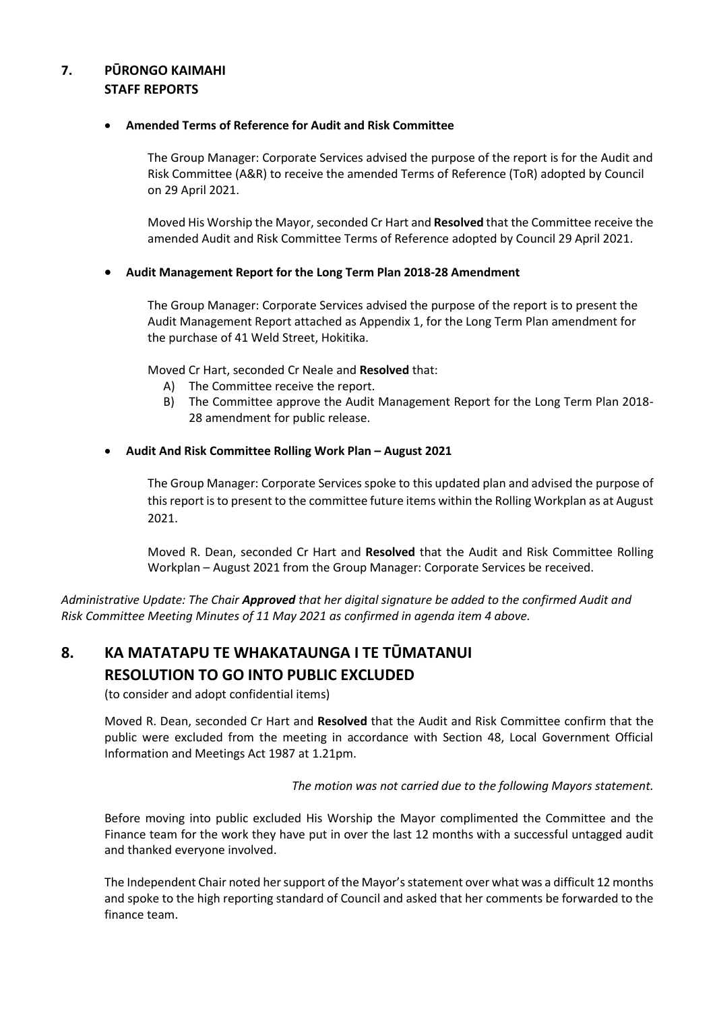# **7. PŪRONGO KAIMAHI STAFF REPORTS**

#### **Amended Terms of Reference for Audit and Risk Committee**

The Group Manager: Corporate Services advised the purpose of the report is for the Audit and Risk Committee (A&R) to receive the amended Terms of Reference (ToR) adopted by Council on 29 April 2021.

Moved His Worship the Mayor, seconded Cr Hart and **Resolved** that the Committee receive the amended Audit and Risk Committee Terms of Reference adopted by Council 29 April 2021.

#### **Audit Management Report for the Long Term Plan 2018-28 Amendment**

The Group Manager: Corporate Services advised the purpose of the report is to present the Audit Management Report attached as Appendix 1, for the Long Term Plan amendment for the purchase of 41 Weld Street, Hokitika.

Moved Cr Hart, seconded Cr Neale and **Resolved** that:

- A) The Committee receive the report.
- B) The Committee approve the Audit Management Report for the Long Term Plan 2018- 28 amendment for public release.

#### **Audit And Risk Committee Rolling Work Plan – August 2021**

The Group Manager: Corporate Services spoke to this updated plan and advised the purpose of this report is to present to the committee future items within the Rolling Workplan as at August 2021.

Moved R. Dean, seconded Cr Hart and **Resolved** that the Audit and Risk Committee Rolling Workplan – August 2021 from the Group Manager: Corporate Services be received.

*Administrative Update: The Chair Approved that her digital signature be added to the confirmed Audit and Risk Committee Meeting Minutes of 11 May 2021 as confirmed in agenda item 4 above.*

# **8. KA MATATAPU TE WHAKATAUNGA I TE TŪMATANUI RESOLUTION TO GO INTO PUBLIC EXCLUDED**

(to consider and adopt confidential items)

 Moved R. Dean, seconded Cr Hart and **Resolved** that the Audit and Risk Committee confirm that the public were excluded from the meeting in accordance with Section 48, Local Government Official Information and Meetings Act 1987 at 1.21pm.

*The motion was not carried due to the following Mayors statement.*

Before moving into public excluded His Worship the Mayor complimented the Committee and the Finance team for the work they have put in over the last 12 months with a successful untagged audit and thanked everyone involved.

The Independent Chair noted her support of the Mayor's statement over what was a difficult 12 months and spoke to the high reporting standard of Council and asked that her comments be forwarded to the finance team.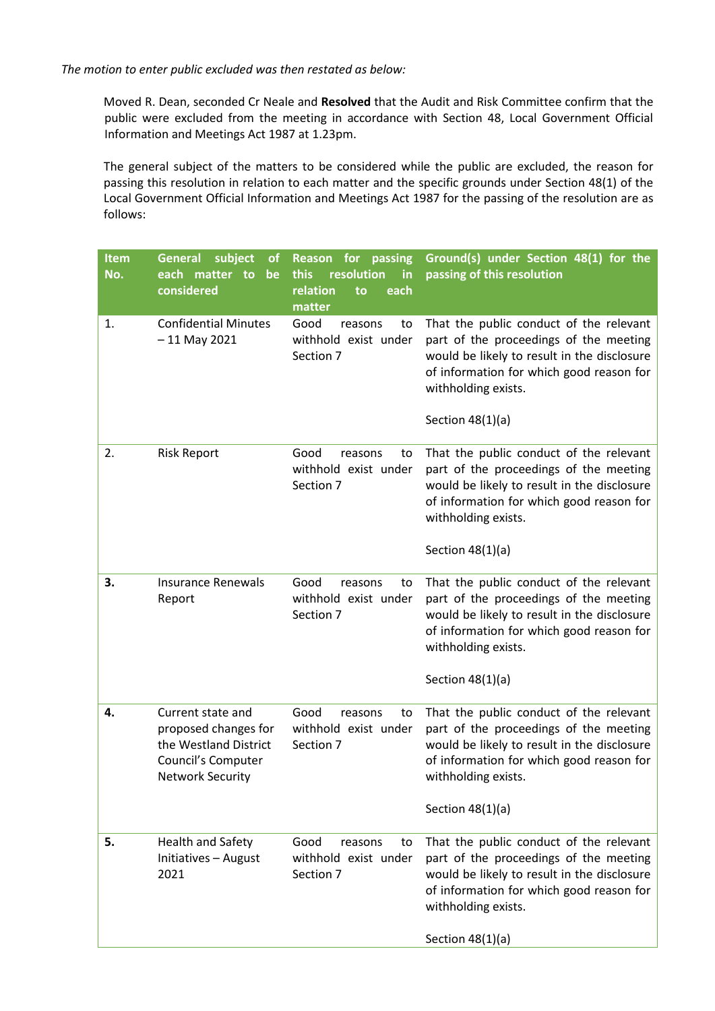*The motion to enter public excluded was then restated as below:*

Moved R. Dean, seconded Cr Neale and **Resolved** that the Audit and Risk Committee confirm that the public were excluded from the meeting in accordance with Section 48, Local Government Official Information and Meetings Act 1987 at 1.23pm.

The general subject of the matters to be considered while the public are excluded, the reason for passing this resolution in relation to each matter and the specific grounds under Section 48(1) of the Local Government Official Information and Meetings Act 1987 for the passing of the resolution are as follows:

| <b>Item</b><br>No. | subject<br><b>General</b><br>0t<br>each matter to<br>be<br>considered                                               | <b>Reason</b> for<br>passing<br>resolution<br>this<br>in<br>relation<br>each<br>to<br>matter | Ground(s) under Section 48(1) for the<br>passing of this resolution                                                                                                                                                       |
|--------------------|---------------------------------------------------------------------------------------------------------------------|----------------------------------------------------------------------------------------------|---------------------------------------------------------------------------------------------------------------------------------------------------------------------------------------------------------------------------|
| 1.                 | <b>Confidential Minutes</b><br>$-11$ May 2021                                                                       | Good<br>reasons<br>to<br>withhold exist under<br>Section 7                                   | That the public conduct of the relevant<br>part of the proceedings of the meeting<br>would be likely to result in the disclosure<br>of information for which good reason for<br>withholding exists.                       |
|                    |                                                                                                                     |                                                                                              | Section $48(1)(a)$                                                                                                                                                                                                        |
| 2.                 | <b>Risk Report</b>                                                                                                  | Good<br>reasons<br>to<br>withhold exist under<br>Section 7                                   | That the public conduct of the relevant<br>part of the proceedings of the meeting<br>would be likely to result in the disclosure<br>of information for which good reason for<br>withholding exists.                       |
|                    |                                                                                                                     |                                                                                              | Section $48(1)(a)$                                                                                                                                                                                                        |
| 3.                 | <b>Insurance Renewals</b><br>Report                                                                                 | Good<br>reasons<br>to<br>withhold exist under<br>Section 7                                   | That the public conduct of the relevant<br>part of the proceedings of the meeting<br>would be likely to result in the disclosure<br>of information for which good reason for<br>withholding exists.                       |
|                    |                                                                                                                     |                                                                                              | Section $48(1)(a)$                                                                                                                                                                                                        |
| 4.                 | Current state and<br>proposed changes for<br>the Westland District<br>Council's Computer<br><b>Network Security</b> | Good<br>reasons<br>to<br>withhold exist under<br>Section 7                                   | That the public conduct of the relevant<br>part of the proceedings of the meeting<br>would be likely to result in the disclosure<br>of information for which good reason for<br>withholding exists.<br>Section $48(1)(a)$ |
|                    |                                                                                                                     |                                                                                              |                                                                                                                                                                                                                           |
| 5.                 | Health and Safety<br>Initiatives - August<br>2021                                                                   | Good<br>reasons<br>to<br>withhold exist under<br>Section 7                                   | That the public conduct of the relevant<br>part of the proceedings of the meeting<br>would be likely to result in the disclosure<br>of information for which good reason for<br>withholding exists.                       |
|                    |                                                                                                                     |                                                                                              | Section $48(1)(a)$                                                                                                                                                                                                        |